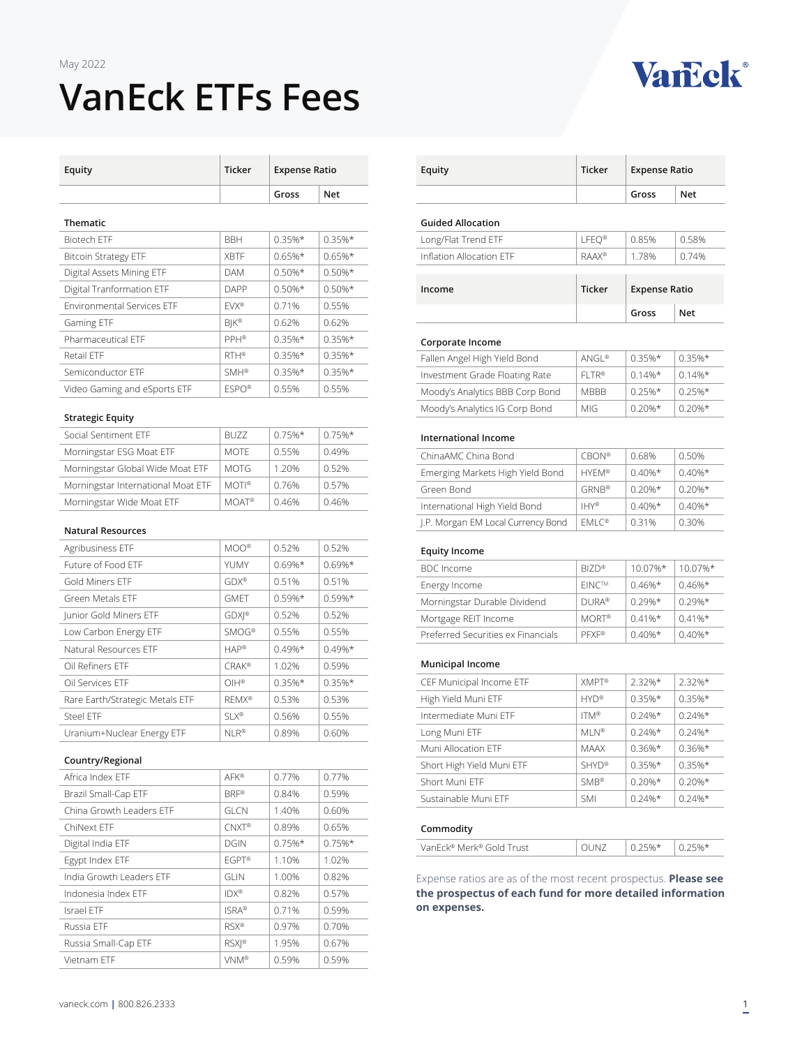# **[VanEck ETFs Fees](https://www.vaneck.com/us/en/etf-mutual-fund-finder/etfs/?InvType=etf&AssetClass=c,ga,nr,se,t,cb,ei,ib,mb,c-c,c-da&Funds=emf,esf,grf,iigf,mwmf,embf,ccif&ShareClass=a,c,i,y,z&tab=ov&Sort=name&SortDesc=true)**

# Vancok®

| Equity                             | <b>Ticker</b>       | <b>Expense Ratio</b> |            |
|------------------------------------|---------------------|----------------------|------------|
|                                    |                     | Gross                | <b>Net</b> |
| <b>Thematic</b>                    |                     |                      |            |
| <b>Biotech ETF</b>                 | <b>BBH</b>          | $0.35%$ *            | $0.35%$ *  |
| <b>Bitcoin Strategy ETF</b>        | <b>XBTF</b>         | $0.65%$ *            | $0.65%$ *  |
| Digital Assets Mining ETF          | <b>DAM</b>          | $0.50\%*$            | $0.50\%*$  |
| Digital Tranformation ETF          | <b>DAPP</b>         | $0.50\%*$            | $0.50\%*$  |
| <b>Environmental Services FTF</b>  | EVX®                | 0.71%                | 0.55%      |
| Gaming ETF                         | <b>B</b>  K®        | 0.62%                | 0.62%      |
| Pharmaceutical ETF                 | PPH®                | $0.35%$ *            | $0.35%$ *  |
| Retail ETF                         | RTH <sup>®</sup>    | $0.35%$ *            | $0.35%$ *  |
| Semiconductor ETF                  | $SMH^{\circledast}$ | $0.35%$ *            | $0.35%$ *  |
| Video Gaming and eSports ETF       | <b>FSPO®</b>        | 0.55%                | 0.55%      |
| <b>Strategic Equity</b>            |                     |                      |            |
| Social Sentiment ETF               | <b>BUZZ</b>         | $0.75%$ *            | $0.75%$ *  |
| Morningstar ESG Moat ETF           | <b>MOTE</b>         | 0.55%                | 0.49%      |
| Morningstar Global Wide Moat ETF   | <b>MOTG</b>         | 1.20%                | 0.52%      |
| Morningstar International Moat ETF | MOTI®               | 0.76%                | 0.57%      |

# **Natural Resources**

| Agribusiness ETF                | MOO®               | 0.52%     | 0.52%     |
|---------------------------------|--------------------|-----------|-----------|
| Future of Food ETF              | <b>YUMY</b>        | $0.69%$ * | $0.69%$ * |
| Gold Miners FTF                 | GDX®               | 0.51%     | 0.51%     |
| Green Metals FTF                | <b>GMFT</b>        | $0.59%$ * | $0.59%$ * |
| Junior Gold Miners ETF          | $GDX ^\otimes$     | 0.52%     | 0.52%     |
| Low Carbon Energy ETF           | <b>SMOG®</b>       | 0.55%     | 0.55%     |
| Natural Resources ETF           | $HAP^*$            | $0.49\%*$ | $0.49\%*$ |
| Oil Refiners ETF                | $CRAK^{\circledR}$ | 1.02%     | 0.59%     |
| Oil Services ETF                | $OIH^{\otimes}$    | $0.35%$ * | $0.35%$ * |
| Rare Earth/Strategic Metals ETF | RFMX®              | 0.53%     | 0.53%     |
| <b>Steel ETF</b>                | $SI X^{\circledR}$ | 0.56%     | 0.55%     |
| Uranium+Nuclear Energy ETF      | $NI R^{\circledR}$ | 0.89%     | 0.60%     |
|                                 |                    |           |           |

Morningstar Wide Moat ETF MOAT<sup>®</sup> 0.46% 0.46%

# **Country/Regional**

| Africa Index FTF         | <b>AFK®</b>       | 0.77%     | 0.77%     |
|--------------------------|-------------------|-----------|-----------|
| Brazil Small-Cap ETF     | BRF®              | 0.84%     | 0.59%     |
| China Growth Leaders FTF | <b>GLCN</b>       | 1.40%     | 0.60%     |
| ChiNext FTF              | $CNXT^*$          | 0.89%     | 0.65%     |
| Digital India ETF        | <b>DGIN</b>       | $0.75%$ * | $0.75%$ * |
| Egypt Index ETF          | $FGPT^*$          | 1.10%     | 1.02%     |
| India Growth Leaders FTF | <b>GLIN</b>       | 1.00%     | 0.82%     |
| Indonesia Index FTF      | $IDX^{\circledR}$ | 0.82%     | 0.57%     |
| <b>Israel FTF</b>        | ISRA <sup>®</sup> | 0.71%     | 0.59%     |
| Russia ETF               | RSX®              | 0.97%     | 0.70%     |
| Russia Small-Cap ETF     | RSXI®             | 1.95%     | 0.67%     |
| Vietnam FTF              | VNM®              | 0.59%     | 0.59%     |

| Equity                   | <b>Ticker</b>     | <b>Expense Ratio</b> |            |
|--------------------------|-------------------|----------------------|------------|
|                          |                   | Gross                | <b>Net</b> |
| <b>Guided Allocation</b> |                   |                      |            |
| Long/Flat Trend ETF      | LFEO <sup>®</sup> | 0.85%                | 0.58%      |
| Inflation Allocation ETF | <b>RAAX®</b>      | 1.78%                | 0.74%      |
|                          |                   |                      |            |
| Income                   | <b>Ticker</b>     | <b>Expense Ratio</b> |            |
|                          |                   | Gross                | <b>Net</b> |

#### **Corporate Income**

| Fallen Angel High Yield Bond    | ANGI <sup>®</sup> | $0.35%$ * | 0.35%*    |
|---------------------------------|-------------------|-----------|-----------|
| Investment Grade Floating Rate  | $FI$ TR®          | $0.14\%*$ | $0.14\%*$ |
| Moody's Analytics BBB Corp Bond | <b>MBBB</b>       | $0.25%$ * | $0.25%$ * |
| Moody's Analytics IG Corp Bond  | <b>MIG</b>        | $0.20%$ * | $0.20\%*$ |

# **International Income**

| ChinaAMC China Bond                | $CBON^{\circledR}$ | 0.68%     | 0.50%     |
|------------------------------------|--------------------|-----------|-----------|
| Emerging Markets High Yield Bond   | <b>HYFM®</b>       | $0.40\%*$ | $0.40\%*$ |
| Green Bond                         | $GRNB^{\circledR}$ | $0.20%$ * | $0.20\%*$ |
| International High Yield Bond      | <b>IHY®</b>        | $0.40\%*$ | $0.40\%*$ |
| J.P. Morgan EM Local Currency Bond | $FMIC^{\otimes}$   | 0.31%     | 0.30%     |

# **Equity Income**

| <b>BDC</b> Income                  | $BIZD^*$          | 10.07%*   | 10.07%*   |
|------------------------------------|-------------------|-----------|-----------|
| Energy Income                      | EINC™             | $0.46%$ * | $0.46\%*$ |
| Morningstar Durable Dividend       | DURA <sup>®</sup> | $0.29%$ * | $0.29%$ * |
| Mortgage REIT Income               | <b>MORT®</b>      | $0.41\%*$ | $0.41\%*$ |
| Preferred Securities ex Financials | <b>PFXF®</b>      | $0.40\%*$ | $0.40\%*$ |
|                                    |                   |           |           |

# **Municipal Income**

| CEF Municipal Income ETF  | <b>XMPT®</b>       | $2.32%$ * | $2.32%$ * |
|---------------------------|--------------------|-----------|-----------|
| High Yield Muni ETF       | $HYP$ <sup>®</sup> | $0.35%$ * | $0.35%$ * |
| Intermediate Muni ETF     | ITM®               | $0.24%$ * | $0.24\%*$ |
| Long Muni ETF             | $M1 N^{\circ}$     | $0.24\%*$ | $0.24\%*$ |
| Muni Allocation ETF       | <b>MAAX</b>        | $0.36%$ * | $0.36\%*$ |
| Short High Yield Muni ETF | <b>SHYD®</b>       | $0.35%$ * | $0.35%$ * |
| Short Muni ETF            | $SMB^{\circledR}$  | $0.20%$ * | $0.20%$ * |
| Sustainable Muni ETF      | <b>SMI</b>         | $0.24\%*$ | $0.24\%*$ |
|                           |                    |           |           |

# **Commodity**

| VanFck® Merk® Gold Trust | ∩I INI7 | 0.25%* |  |
|--------------------------|---------|--------|--|
|                          |         |        |  |

Expense ratios are as of the most recent prospectus. **Please see the prospectus of each fund for more detailed information on expenses.**